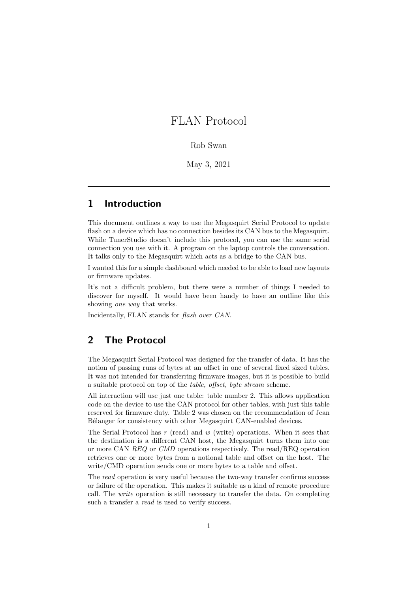## FLAN Protocol

Rob Swan

May 3, 2021

## 1 Introduction

This document outlines a way to use the Megasquirt Serial Protocol to update flash on a device which has no connection besides its CAN bus to the Megasquirt. While TunerStudio doesn't include this protocol, you can use the same serial connection you use with it. A program on the laptop controls the conversation. It talks only to the Megasquirt which acts as a bridge to the CAN bus.

I wanted this for a simple dashboard which needed to be able to load new layouts or firmware updates.

It's not a difficult problem, but there were a number of things I needed to discover for myself. It would have been handy to have an outline like this showing *one* way that works.

Incidentally, FLAN stands for flash over CAN.

## 2 The Protocol

The Megasquirt Serial Protocol was designed for the transfer of data. It has the notion of passing runs of bytes at an offset in one of several fixed sized tables. It was not intended for transferring firmware images, but it is possible to build a suitable protocol on top of the table, offset, byte stream scheme.

All interaction will use just one table: table number 2. This allows application code on the device to use the CAN protocol for other tables, with just this table reserved for firmware duty. Table 2 was chosen on the recommendation of Jean Bélanger for consistency with other Megasquirt CAN-enabled devices.

The Serial Protocol has  $r$  (read) and  $w$  (write) operations. When it sees that the destination is a different CAN host, the Megasquirt turns them into one or more CAN REQ or CMD operations respectively. The read/REQ operation retrieves one or more bytes from a notional table and offset on the host. The write/CMD operation sends one or more bytes to a table and offset.

The read operation is very useful because the two-way transfer confirms success or failure of the operation. This makes it suitable as a kind of remote procedure call. The write operation is still necessary to transfer the data. On completing such a transfer a *read* is used to verify success.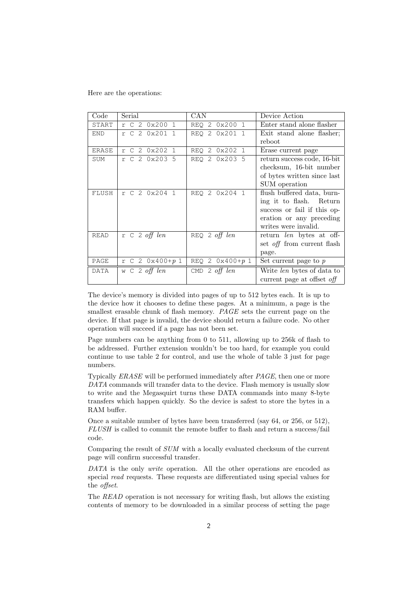Here are the operations:

| $\rm Code$  | Serial                  | CAN                     | Device Action                     |
|-------------|-------------------------|-------------------------|-----------------------------------|
| START       | r C 2 0x200 1           | 2 0x200 1<br>REO        | Enter stand alone flasher         |
| <b>END</b>  | r C 2 0x201 1           | REO 2 0x201 1           | Exit stand alone flasher;         |
|             |                         |                         | reboot                            |
| ERASE       | 2 0x202 1<br>r C        | 2 0x202 1<br><b>REO</b> | Erase current page                |
| SUM         | r C 2 0x203 5           | REO 2 0x203 5           | return success code, 16-bit       |
|             |                         |                         | checksum, 16-bit number           |
|             |                         |                         | of bytes written since last       |
|             |                         |                         | SUM operation                     |
| FLUSH       | r C 2 0x204 1           | REO 2 0x204 1           | flush buffered data, burn-        |
|             |                         |                         | ing it to flash. Return           |
|             |                         |                         | success or fail if this op-       |
|             |                         |                         | eration or any preceding          |
|             |                         |                         | writes were invalid.              |
| <b>READ</b> | $r \ c \ 2 \ off \ len$ | $REQ$ 2 off len         | return len bytes at off-          |
|             |                         |                         | set <i>off</i> from current flash |
|             |                         |                         | page.                             |
| PAGE        | $r C 2 0x400 + p 1$     | REQ 2 $0x400 + p1$      | Set current page to $p$           |
| DATA        | w $C$ 2 off len         | CMD 2 off $len$         | Write <i>len</i> bytes of data to |
|             |                         |                         | current page at offset off        |

The device's memory is divided into pages of up to 512 bytes each. It is up to the device how it chooses to define these pages. At a minimum, a page is the smallest erasable chunk of flash memory. PAGE sets the current page on the device. If that page is invalid, the device should return a failure code. No other operation will succeed if a page has not been set.

Page numbers can be anything from 0 to 511, allowing up to 256k of flash to be addressed. Further extension wouldn't be too hard, for example you could continue to use table 2 for control, and use the whole of table 3 just for page numbers.

Typically ERASE will be performed immediately after PAGE, then one or more DATA commands will transfer data to the device. Flash memory is usually slow to write and the Megasquirt turns these DATA commands into many 8-byte transfers which happen quickly. So the device is safest to store the bytes in a RAM buffer.

Once a suitable number of bytes have been transferred (say 64, or 256, or 512), FLUSH is called to commit the remote buffer to flash and return a success/fail code.

Comparing the result of SUM with a locally evaluated checksum of the current page will confirm successful transfer.

DATA is the only *write* operation. All the other operations are encoded as special *read* requests. These requests are differentiated using special values for the offset.

The READ operation is not necessary for writing flash, but allows the existing contents of memory to be downloaded in a similar process of setting the page